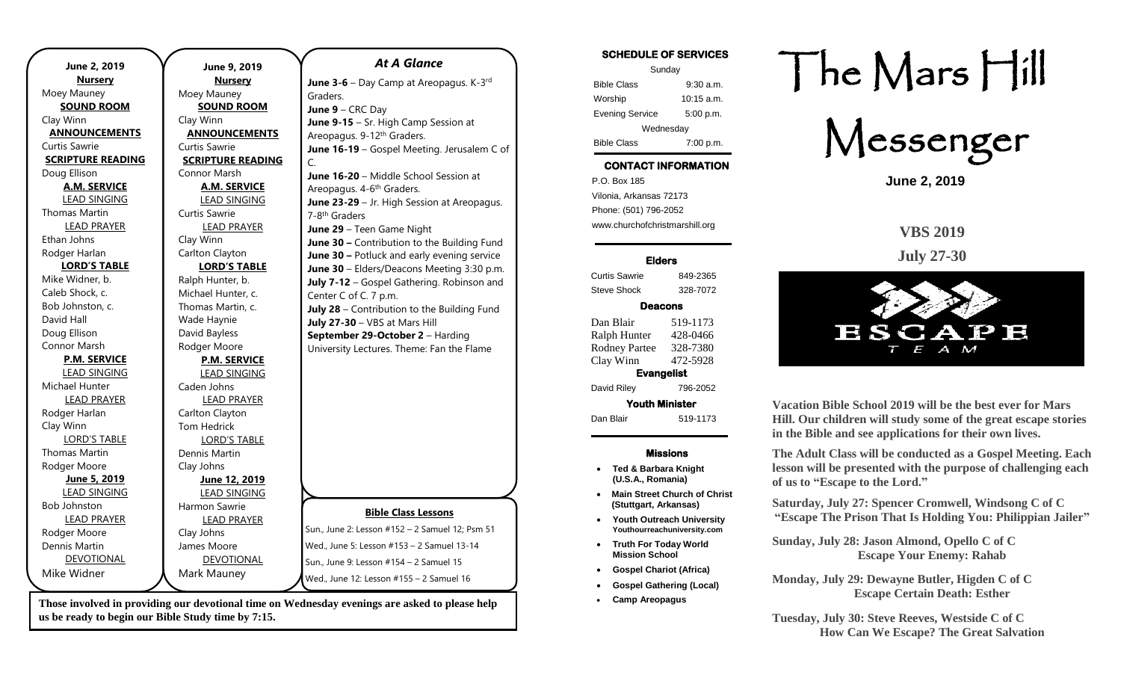| June 2, 2019             | June 9, 2019             | <b>At A Glance</b>                              |
|--------------------------|--------------------------|-------------------------------------------------|
| <b>Nursery</b>           | <b>Nursery</b>           | June 3-6 - Day Camp at Areopagus. K-3rd         |
| Moey Mauney              | Moey Mauney              | Graders.                                        |
| <b>SOUND ROOM</b>        | <b>SOUND ROOM</b>        | June $9 - CRC$ Day                              |
| Clay Winn                | Clay Winn                | June 9-15 - Sr. High Camp Session at            |
| <b>ANNOUNCEMENTS</b>     | <b>ANNOUNCEMENTS</b>     | Areopagus. 9-12th Graders.                      |
| Curtis Sawrie            | Curtis Sawrie            | June 16-19 - Gospel Meeting. Jerusalem C of     |
| <b>SCRIPTURE READING</b> | <b>SCRIPTURE READING</b> | $\mathsf{C}$ .                                  |
| Doug Ellison             | Connor Marsh             | June 16-20 - Middle School Session at           |
| <b>A.M. SERVICE</b>      | <b>A.M. SERVICE</b>      | Areopagus. 4-6 <sup>th</sup> Graders.           |
| <b>LEAD SINGING</b>      | <b>LEAD SINGING</b>      | June 23-29 - Jr. High Session at Areopagus.     |
| <b>Thomas Martin</b>     | Curtis Sawrie            | 7-8 <sup>th</sup> Graders                       |
| <b>LEAD PRAYER</b>       | <b>LEAD PRAYER</b>       | June 29 - Teen Game Night                       |
| Ethan Johns              | Clay Winn                | June 30 - Contribution to the Building Fund     |
| Rodger Harlan            | Carlton Clayton          | June 30 - Potluck and early evening service     |
| <b>LORD'S TABLE</b>      | <b>LORD'S TABLE</b>      | June 30 - Elders/Deacons Meeting 3:30 p.m.      |
| Mike Widner, b.          | Ralph Hunter, b.         | July 7-12 - Gospel Gathering. Robinson and      |
| Caleb Shock, c.          | Michael Hunter, c.       | Center C of C. 7 p.m.                           |
| Bob Johnston, c.         | Thomas Martin, c.        | July 28 - Contribution to the Building Fund     |
| David Hall               | Wade Haynie              | July 27-30 - VBS at Mars Hill                   |
| Doug Ellison             | David Bayless            | September 29-October 2 - Harding                |
| Connor Marsh             | Rodger Moore             | University Lectures. Theme: Fan the Flame       |
| <b>P.M. SERVICE</b>      | <b>P.M. SERVICE</b>      |                                                 |
| <b>LEAD SINGING</b>      | <b>LEAD SINGING</b>      |                                                 |
| Michael Hunter           | Caden Johns              |                                                 |
| <b>LEAD PRAYER</b>       | <b>LEAD PRAYER</b>       |                                                 |
| Rodger Harlan            | Carlton Clayton          |                                                 |
| Clay Winn                | Tom Hedrick              |                                                 |
| <b>LORD'S TABLE</b>      | <b>LORD'S TABLE</b>      |                                                 |
| <b>Thomas Martin</b>     | Dennis Martin            |                                                 |
| Rodger Moore             | Clay Johns               |                                                 |
| June 5, 2019             | June 12, 2019            |                                                 |
| <b>LEAD SINGING</b>      | <b>LEAD SINGING</b>      |                                                 |
| <b>Bob Johnston</b>      | Harmon Sawrie            | <b>Bible Class Lessons</b>                      |
| <b>LEAD PRAYER</b>       | <b>LEAD PRAYER</b>       |                                                 |
| Rodger Moore             | Clay Johns               | Sun., June 2: Lesson #152 - 2 Samuel 12; Psm 51 |
| Dennis Martin            | James Moore              | Wed., June 5: Lesson #153 - 2 Samuel 13-14      |
| <b>DEVOTIONAL</b>        | <b>DEVOTIONAL</b>        | Sun., June 9: Lesson #154 - 2 Samuel 15         |
| Mike Widner              | Mark Mauney              | Wed., June 12: Lesson #155 - 2 Samuel 16        |
|                          |                          |                                                 |

**Those involved in providing our devotional time on Wednesday evenings are asked to please help us be ready to begin our Bible Study time by 7:15.** 

### **SCHEDULE OF SERVICES**  Sunday Bible Class 9:30 a.m. Worship 10:15 a.m. Evening Service 5:00 p.m. Wednesday Bible Class 7:00 p.m.

# **CONTACT INFORMATION**

. .o. Box 166<br>Vilonia, Arkansas 72173 P.O. Box 185 Phone: (501) 796-2052 www.churchofchristmarshill.org

### **Elders**

Curtis Sawrie 849-2365 Steve Shock 328-7072

## **Deacons**

Dan Blair 519-1173 Ralph Hunter 428-0466 Rodney Partee 328-7380 Clay Winn 472-5928 **Evangelist**  David Riley 796-2052 **Youth Minister**  Dan Blair 519-1173

### **Missions**

- **Ted & Barbara Knight (U.S.A., Romania)**
- **Main Street Church of Christ (Stuttgart, Arkansas)**
- **Youth Outreach University Youthourreachuniversity.com**
- **Truth For Today World Mission School**
- **Gospel Chariot (Africa)**
- **Gospel Gathering (Local)**
- **Camp Areopagus**

# The Mars Hill

Messenger

**June 2, 2019**

**VBS 2019**

**July 27-30**



**Vacation Bible School 2019 will be the best ever for Mars Hill. Our children will study some of the great escape stories in the Bible and see applications for their own lives.** 

**The Adult Class will be conducted as a Gospel Meeting. Each lesson will be presented with the purpose of challenging each of us to "Escape to the Lord."**

**Saturday, July 27: Spencer Cromwell, Windsong C of C "Escape The Prison That Is Holding You: Philippian Jailer"**

**Sunday, July 28: Jason Almond, Opello C of C Escape Your Enemy: Rahab**

**Monday, July 29: Dewayne Butler, Higden C of C Escape Certain Death: Esther**

**Tuesday, July 30: Steve Reeves, Westside C of C How Can We Escape? The Great Salvation**